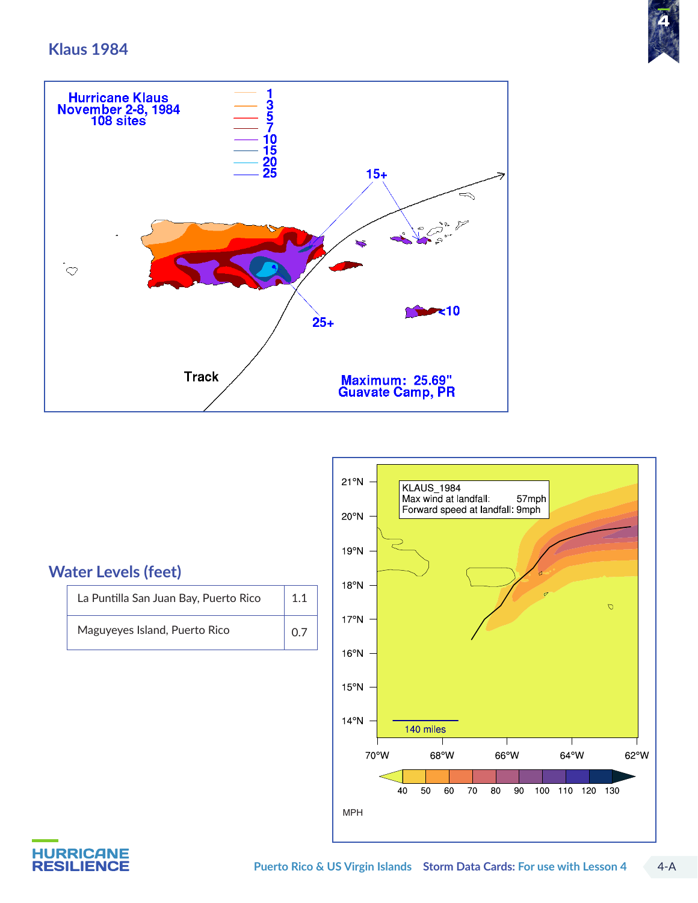#### **Klaus 1984**





#### **Water Levels (feet)**

| La Puntilla San Juan Bay, Puerto Rico | 1.1 |
|---------------------------------------|-----|
| Maguyeyes Island, Puerto Rico         | 0.7 |



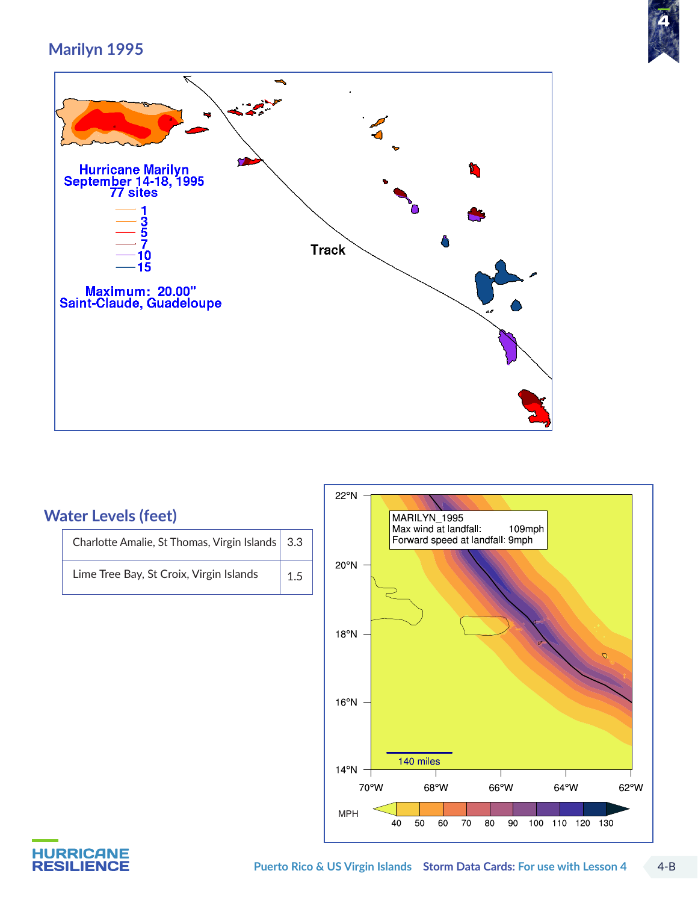

# **Marilyn 1995**

 $\overline{\mathcal{N}}$ 

| ъ,                                                                                                                                |              |    |
|-----------------------------------------------------------------------------------------------------------------------------------|--------------|----|
| Hurricane Marilyn<br>September 14-18, 1995<br>77 sites<br>$\frac{3}{5}$<br>0<br>15<br>Maximum: 20.00"<br>Saint-Claude, Guadeloupe | <b>Track</b> | 68 |
|                                                                                                                                   |              |    |

 $\rightarrow$ 

# **Water Levels (feet)**

Charlotte Amalie, St Thomas, Virgin Islands  $\vert$  3.3 Lime Tree Bay, St Croix, Virgin Islands  $1.5$ 



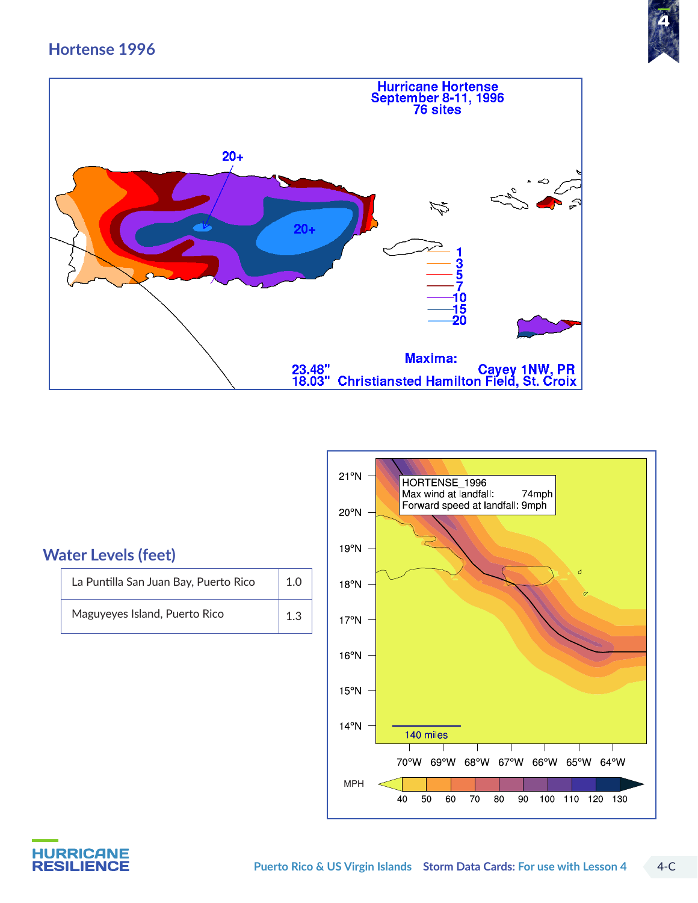## **Hortense 1996**







| La Puntilla San Juan Bay, Puerto Rico | $\vert$ 1.0 |
|---------------------------------------|-------------|
| Maguyeyes Island, Puerto Rico         | 1.3         |



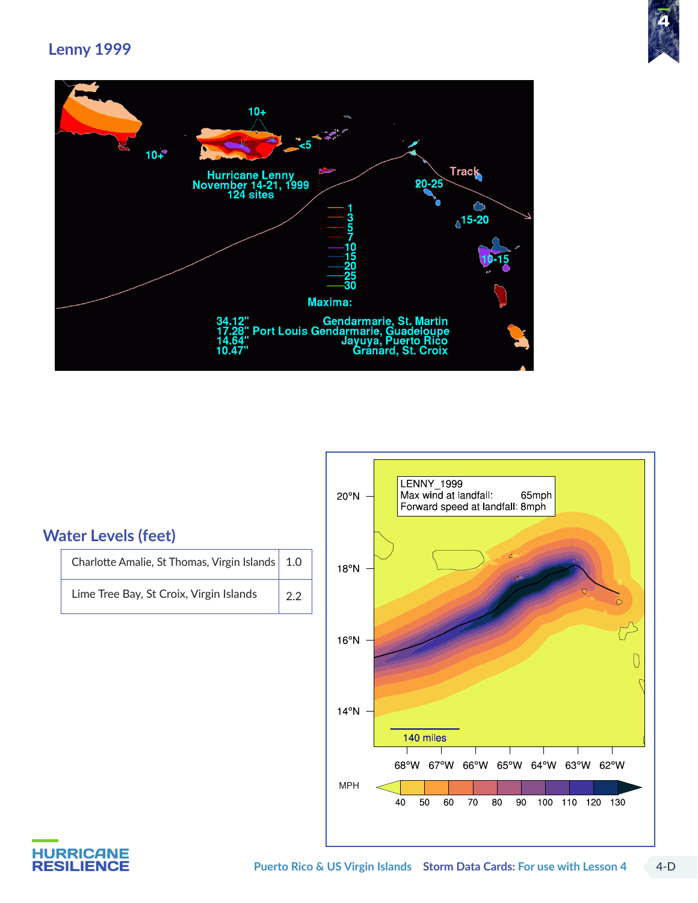







## **Water Levels (feet)**

| Charlotte Amalie, St Thomas, Virgin Islands   1.0 |             |
|---------------------------------------------------|-------------|
| Lime Tree Bay, St Croix, Virgin Islands           | $\vert$ 2.2 |

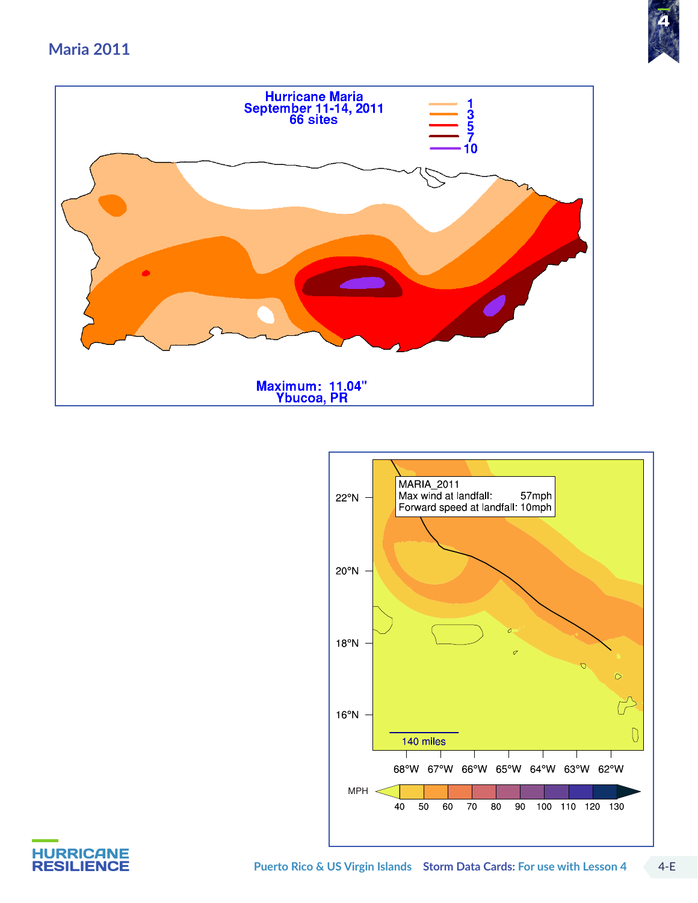#### **Maria 2011**